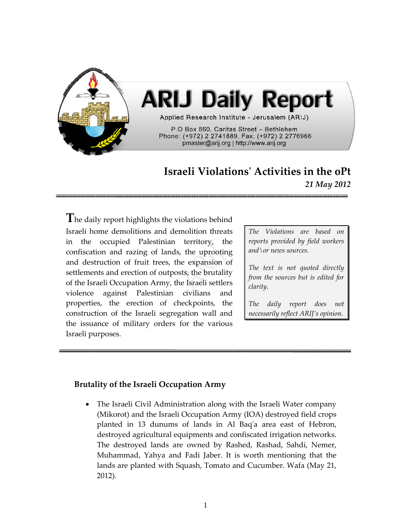

# **Israeli Violationsʹ Activities in the oPt** *21 May 2012*

**T**he daily report highlights the violations behind Israeli home demolitions and demolition threats in the occupied Palestinian territory, the confiscation and razing of lands, the uprooting and destruction of fruit trees, the expansion of settlements and erection of outposts, the brutality of the Israeli Occupation Army, the Israeli settlers violence against Palestinian civilians and properties, the erection of checkpoints, the construction of the Israeli segregation wall and the issuance of military orders for the various Israeli purposes.

*The Violations are based on reports provided by field workers and\or news sources.*

*The text is not quoted directly from the sources but is edited for clarity.*

*The daily report does not necessarily reflect ARIJ's opinion.*

# **Brutality of the Israeli Occupation Army**

• The Israeli Civil Administration along with the Israeli Water company (Mikorot) and the Israeli Occupation Army (IOA) destroyed field crops planted in 13 dunums of lands in Al Baqʹa area east of Hebron, destroyed agricultural equipments and confiscated irrigation networks. The destroyed lands are owned by Rashed, Rashad, Sahdi, Nemer, Muhammad, Yahya and Fadi Jaber. It is worth mentioning that the lands are planted with Squash, Tomato and Cucumber. Wafa (May 21, 2012).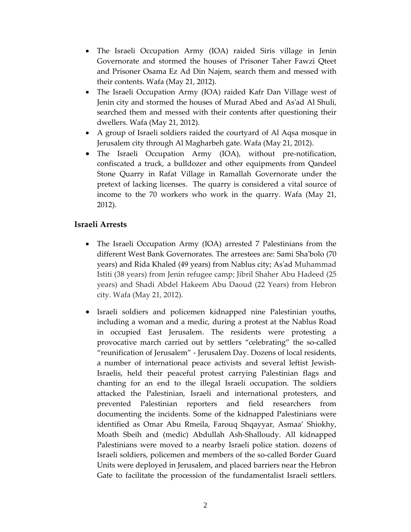- The Israeli Occupation Army (IOA) raided Siris village in Jenin Governorate and stormed the houses of Prisoner Taher Fawzi Qteet and Prisoner Osama Ez Ad Din Najem, search them and messed with their contents. Wafa (May 21, 2012).
- The Israeli Occupation Army (IOA) raided Kafr Dan Village west of Jenin city and stormed the houses of Murad Abed and Asʹad Al Shuli, searched them and messed with their contents after questioning their dwellers. Wafa (May 21, 2012).
- A group of Israeli soldiers raided the courtyard of Al Aqsa mosque in Jerusalem city through Al Magharbeh gate. Wafa (May 21, 2012).
- The Israeli Occupation Army (IOA), without pre-notification, confiscated a truck, a bulldozer and other equipments from Qandeel Stone Quarry in Rafat Village in Ramallah Governorate under the pretext of lacking licenses. The quarry is considered a vital source of income to the 70 workers who work in the quarry. Wafa (May 21, 2012).

# **Israeli Arrests**

- The Israeli Occupation Army (IOA) arrested 7 Palestinians from the different West Bank Governorates. The arrestees are: Sami Shaʹbolo (70 years) and Rida Khaled (49 years) from Nablus city; Asʹad Muhammad Istiti (38 years) from Jenin refugee camp; Jibril Shaher Abu Hadeed (25 years) and Shadi Abdel Hakeem Abu Daoud (22 Years) from Hebron city. Wafa (May 21, 2012).
- Israeli soldiers and policemen kidnapped nine Palestinian youths, including a woman and a medic, during a protest at the Nablus Road in occupied East Jerusalem. The residents were protesting a provocative march carried out by settlers "celebrating" the so‐called "reunification of Jerusalem" ‐ Jerusalem Day. Dozens of local residents, a number of international peace activists and several leftist Jewish‐ Israelis, held their peaceful protest carrying Palestinian flags and chanting for an end to the illegal Israeli occupation. The soldiers attacked the Palestinian, Israeli and international protesters, and prevented Palestinian reporters and field researchers from documenting the incidents. Some of the kidnapped Palestinians were identified as Omar Abu Rmeila, Farouq Shqayyar, Asmaa' Shiokhy, Moath Sbeih and (medic) Abdullah Ash‐Shalloudy. All kidnapped Palestinians were moved to a nearby Israeli police station. dozens of Israeli soldiers, policemen and members of the so-called Border Guard Units were deployed in Jerusalem, and placed barriers near the Hebron Gate to facilitate the procession of the fundamentalist Israeli settlers.